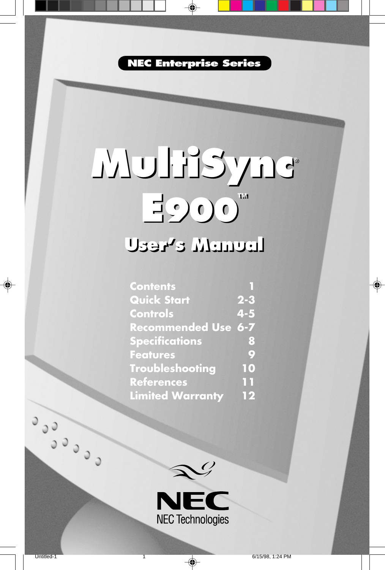**NEC Enterprise Series**

◈

# **MultiSync**® **MultiSync**® **E900™ E900™ User's Manual User's Manual**

| <b>Contents</b>            |                               |
|----------------------------|-------------------------------|
| <b>Quick Start</b>         | $2 - 3$                       |
| <b>Controls</b>            | $4 - 5$                       |
| <b>Recommended Use 6-7</b> |                               |
| <b>Specifications</b>      | 8                             |
| <b>Features</b>            | Q                             |
| <b>Troubleshooting</b>     | 10                            |
| <b>References</b>          | $\overline{1}$ $\overline{1}$ |
| <b>Limited Warranty</b>    | 12                            |



⊕

Coco

◈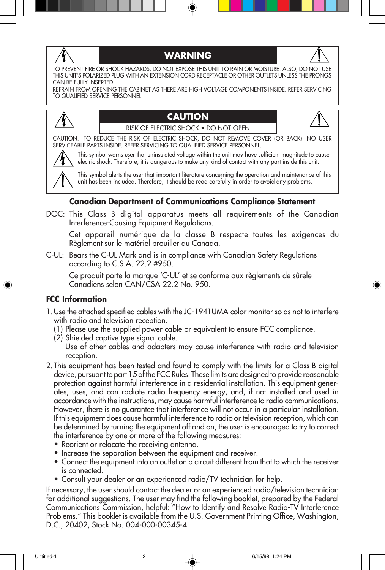

#### **WARNING**



TO PREVENT FIRE OR SHOCK HAZARDS, DO NOT EXPOSE THIS UNIT TO RAIN OR MOISTURE. ALSO, DO NOT USE THIS UNIT'S POLARIZED PLUG WITH AN EXTENSION CORD RECEPTACLE OR OTHER OUTLETS UNLESS THE PRONGS CAN BE FULLY INSERTED.

REFRAIN FROM OPENING THE CABINET AS THERE ARE HIGH VOLTAGE COMPONENTS INSIDE. REFER SERVICING TO QUALIFIED SERVICE PERSONNEL.



#### **CAUTION** RISK OF ELECTRIC SHOCK • DO NOT OPEN



CAUTION: TO REDUCE THE RISK OF ELECTRIC SHOCK, DO NOT REMOVE COVER (OR BACK). NO USER SERVICEABLE PARTS INSIDE. REFER SERVICING TO QUALIFIED SERVICE PERSONNEL.



This symbol warns user that uninsulated voltage within the unit may have sufficient magnitude to cause electric shock. Therefore, it is dangerous to make any kind of contact with any part inside this unit.

This symbol alerts the user that important literature concerning the operation and maintenance of this unit has been included. Therefore, it should be read carefully in order to avoid any problems.

#### **Canadian Department of Communications Compliance Statement**

DOC: This Class B digital apparatus meets all requirements of the Canadian Interference-Causing Equipment Regulations.

Cet appareil numérique de la classe B respecte toutes les exigences du Règlement sur le matériel brouiller du Canada.

C-UL: Bears the C-UL Mark and is in compliance with Canadian Safety Regulations according to C.S.A. 22.2 #950.

Ce produit porte la marque 'C-UL' et se conforme aux règlements de sûrele Canadiens selon CAN/CSA 22.2 No. 950.

#### **FCC Information**

- 1.Use the attached specified cables with the JC-1941UMA color monitor so as not to interfere with radio and television reception.
	- (1) Please use the supplied power cable or equivalent to ensure FCC compliance.
	- (2) Shielded captive type signal cable.

Use of other cables and adapters may cause interference with radio and television reception.

- 2. This equipment has been tested and found to comply with the limits for a Class B digital device, pursuant to part 15 of the FCC Rules. These limits are designed to provide reasonable protection against harmful interference in a residential installation. This equipment generates, uses, and can radiate radio frequency energy, and, if not installed and used in accordance with the instructions, may cause harmful interference to radio communications. However, there is no guarantee that interference will not occur in a particular installation. If this equipment does cause harmful interference to radio or television reception, which can be determined by turning the equipment off and on, the user is encouraged to try to correct the interference by one or more of the following measures:
	- Reorient or relocate the receiving antenna.
	- Increase the separation between the equipment and receiver.
	- Connect the equipment into an outlet on a circuit different from that to which the receiver is connected.
	- Consult your dealer or an experienced radio/TV technician for help.

If necessary, the user should contact the dealer or an experienced radio/television technician for additional suggestions. The user may find the following booklet, prepared by the Federal Communications Commission, helpful: "How to Identify and Resolve Radio-TV Interference Problems." This booklet is available from the U.S. Government Printing Office, Washington, D.C., 20402, Stock No. 004-000-00345-4.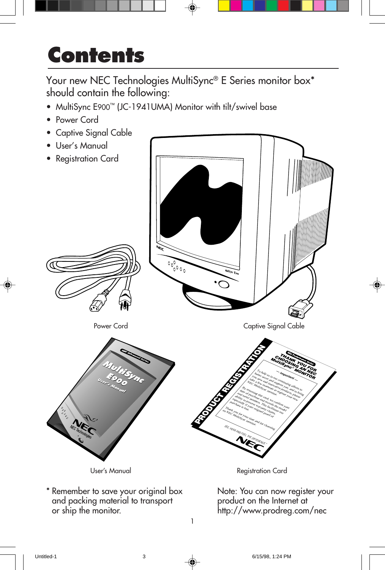## **Contents**

Your new NEC Technologies MultiSync® E Series monitor box\* should contain the following:

- MultiSync E900™ (JC-1941UMA) Monitor with tilt/swivel base
- Power Cord
- Captive Signal Cable
- User's Manual



1

\* Remember to save your original box and packing material to transport or ship the monitor.

Note: You can now register your product on the Internet at http://www.prodreg.com/nec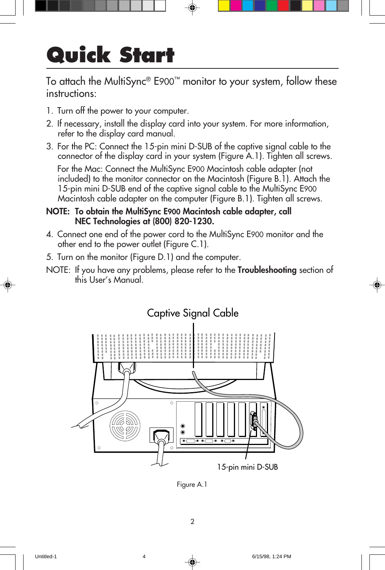# **Quick Start**

To attach the MultiSync® E900™ monitor to your system, follow these instructions:

- 1. Turn off the power to your computer.
- 2. If necessary, install the display card into your system. For more information, refer to the display card manual.
- 3. For the PC: Connect the 15-pin mini D-SUB of the captive signal cable to the connector of the display card in your system (Figure A.1). Tighten all screws.

For the Mac: Connect the MultiSync E900 Macintosh cable adapter (not included) to the monitor connector on the Macintosh (Figure B.1). Attach the 15-pin mini D-SUB end of the captive signal cable to the MultiSync E900 Macintosh cable adapter on the computer (Figure B.1). Tighten all screws.

#### **NOTE: To obtain the MultiSync E900 Macintosh cable adapter, call NEC Technologies at (800) 820-1230.**

- 4. Connect one end of the power cord to the MultiSync E900 monitor and the other end to the power outlet (Figure C.1).
- 5. Turn on the monitor (Figure D.1) and the computer.
- NOTE: If you have any problems, please refer to the **Troubleshooting** section of this User's Manual.



Figure A.1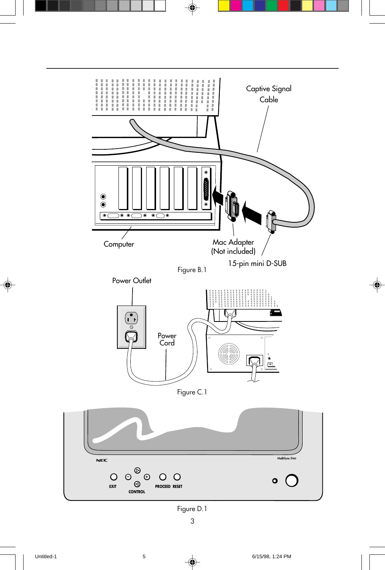

◈

 $\spadesuit$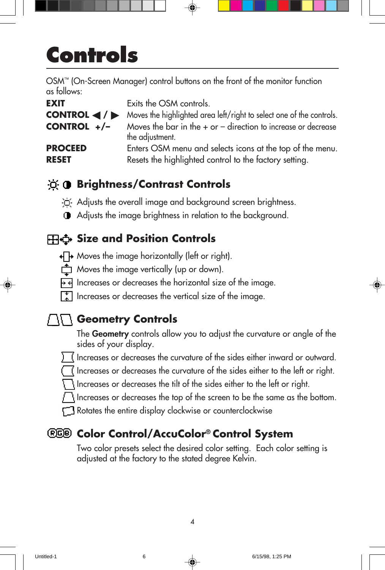# **Controls**

OSM™ (On-Screen Manager) control buttons on the front of the monitor function as follows:

| <b>EXIT</b>                                          | Exits the OSM controls.                                                                                             |
|------------------------------------------------------|---------------------------------------------------------------------------------------------------------------------|
| CONTROL $\blacktriangleleft$ / $\blacktriangleright$ | Moves the highlighted area left/right to select one of the controls.                                                |
| CONTROL $+/-$                                        | Moves the bar in the $+$ or $-$ direction to increase or decrease<br>the adjustment.                                |
| <b>PROCEED</b><br><b>RESET</b>                       | Enters OSM menu and selects icons at the top of the menu.<br>Resets the highlighted control to the factory setting. |

### **Brightness/Contrast Controls**

 $\Box'$  Adjusts the overall image and background screen brightness.

Adjusts the image brightness in relation to the background.

### **Size and Position Controls**

- +<sup>1</sup>→ Moves the image horizontally (left or right).
- $\overrightarrow{C}$  Moves the image vertically (up or down).
- $\overline{H}$  Increases or decreases the horizontal size of the image.
- $\begin{bmatrix} \color{green}\cdot \color{green}\cdot \end{bmatrix}$  Increases or decreases the vertical size of the image.

### **TIT** Geometry Controls

The **Geometry** controls allow you to adjust the curvature or angle of the sides of your display.

- Increases or decreases the curvature of the sides either inward or outward.
- Increases or decreases the curvature of the sides either to the left or right.

Increases or decreases the tilt of the sides either to the left or right.

Increases or decreases the top of the screen to be the same as the bottom.

Rotates the entire display clockwise or counterclockwise

### **Color Control/AccuColor® Control System**

Two color presets select the desired color setting. Each color setting is adjusted at the factory to the stated degree Kelvin.

4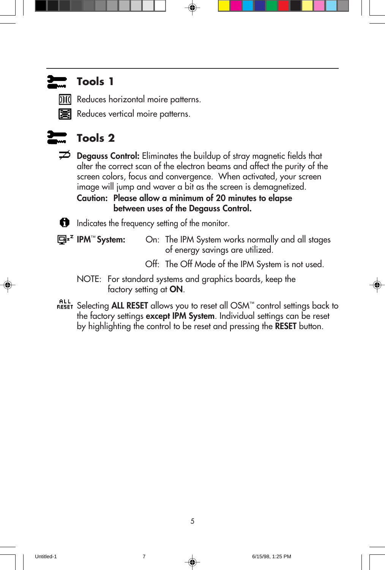### **Tools 1**

**DII** Reduces horizontal moire patterns.

Reduces vertical moire patterns.



### **Tools 2**

**Degauss Control:** Eliminates the buildup of stray magnetic fields that alter the correct scan of the electron beams and affect the purity of the screen colors, focus and convergence. When activated, your screen image will jump and waver a bit as the screen is demagnetized.

**Caution: Please allow a minimum of 20 minutes to elapse between uses of the Degauss Control.**

Indicates the frequency setting of the monitor.

**IPM**™ **System:** On: The IPM System works normally and all stages of energy savings are utilized.

- Off: The Off Mode of the IPM System is not used.
- NOTE: For standard systems and graphics boards, keep the factory setting at **ON**.
- Selecting **ALL RESET** allows you to reset all OSM™ control settings back to the factory settings **except IPM System**. Individual settings can be reset by highlighting the control to be reset and pressing the **RESET** button.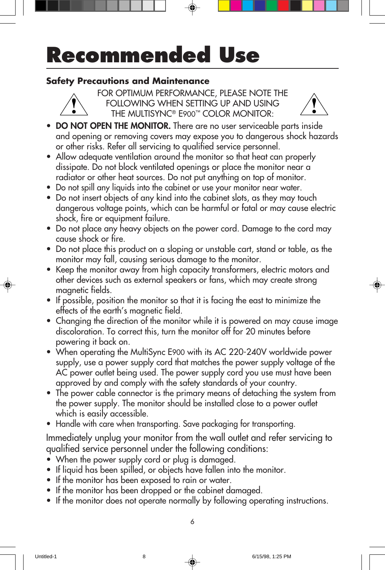# **Recommended Use**

#### **Safety Precautions and Maintenance**



FOR OPTIMUM PERFORMANCE, PLEASE NOTE THE FOLLOWING WHEN SETTING UP AND USING THE MULTISYNC® E900™ COLOR MONITOR:



- **DO NOT OPEN THE MONITOR.** There are no user serviceable parts inside and opening or removing covers may expose you to dangerous shock hazards or other risks. Refer all servicing to qualified service personnel.
- **•** Allow adequate ventilation around the monitor so that heat can properly dissipate. Do not block ventilated openings or place the monitor near a radiator or other heat sources. Do not put anything on top of monitor.
- **•** Do not spill any liquids into the cabinet or use your monitor near water.
- **•** Do not insert objects of any kind into the cabinet slots, as they may touch dangerous voltage points, which can be harmful or fatal or may cause electric shock, fire or equipment failure.
- **•** Do not place any heavy objects on the power cord. Damage to the cord may cause shock or fire.
- **•** Do not place this product on a sloping or unstable cart, stand or table, as the monitor may fall, causing serious damage to the monitor.
- **•** Keep the monitor away from high capacity transformers, electric motors and other devices such as external speakers or fans, which may create strong magnetic fields.
- **•** If possible, position the monitor so that it is facing the east to minimize the effects of the earth's magnetic field.
- **•** Changing the direction of the monitor while it is powered on may cause image discoloration. To correct this, turn the monitor off for 20 minutes before powering it back on.
- **•** When operating the MultiSync E900 with its AC 220-240V worldwide power supply, use a power supply cord that matches the power supply voltage of the AC power outlet being used. The power supply cord you use must have been approved by and comply with the safety standards of your country.
- **•** The power cable connector is the primary means of detaching the system from the power supply. The monitor should be installed close to a power outlet which is easily accessible.
- **•** Handle with care when transporting. Save packaging for transporting.

Immediately unplug your monitor from the wall outlet and refer servicing to qualified service personnel under the following conditions:

- **•** When the power supply cord or plug is damaged.
- **•** If liquid has been spilled, or objects have fallen into the monitor.
- **•** If the monitor has been exposed to rain or water.
- **•** If the monitor has been dropped or the cabinet damaged.
- **•** If the monitor does not operate normally by following operating instructions.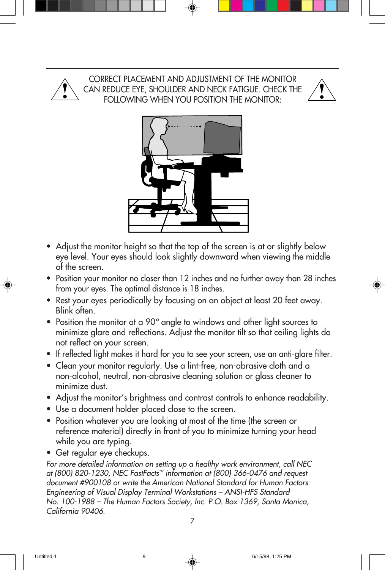

CORRECT PLACEMENT AND ADJUSTMENT OF THE MONITOR CAN REDUCE EYE, SHOULDER AND NECK FATIGUE. CHECK THE FOLLOWING WHEN YOU POSITION THE MONITOR:





- **•** Adjust the monitor height so that the top of the screen is at or slightly below eye level. Your eyes should look slightly downward when viewing the middle of the screen.
- **•** Position your monitor no closer than 12 inches and no further away than 28 inches from your eyes. The optimal distance is 18 inches.
- **•** Rest your eyes periodically by focusing on an object at least 20 feet away. Blink often.
- **•** Position the monitor at a 90° angle to windows and other light sources to minimize glare and reflections. Adjust the monitor tilt so that ceiling lights do not reflect on your screen.
- **•** If reflected light makes it hard for you to see your screen, use an anti-glare filter.
- **•** Clean your monitor regularly. Use a lint-free, non-abrasive cloth and a non-alcohol, neutral, non-abrasive cleaning solution or glass cleaner to minimize dust.
- **•** Adjust the monitor's brightness and contrast controls to enhance readability.
- **•** Use a document holder placed close to the screen.
- **•** Position whatever you are looking at most of the time (the screen or reference material) directly in front of you to minimize turning your head while you are typing.
- **•** Get regular eye checkups.

For more detailed information on setting up a healthy work environment, call NEC at (800) 820-1230, NEC FastFacts™ information at (800) 366-0476 and request document #900108 or write the American National Standard for Human Factors Engineering of Visual Display Terminal Workstations – ANSI-HFS Standard No. 100-1988 – The Human Factors Society, Inc. P.O. Box 1369, Santa Monica, California 90406.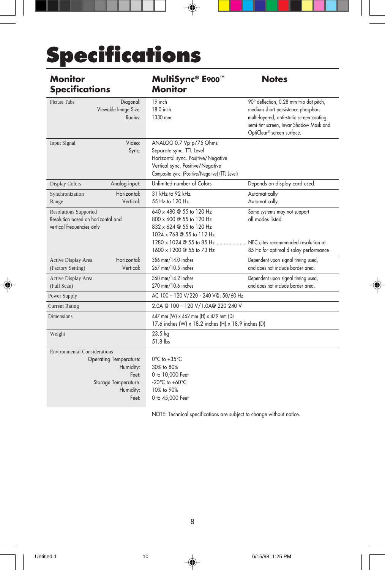# **Specifications**

| <b>Monitor</b><br><b>Specifications</b>                                                                                                  | MultiSync® E900™<br><b>Monitor</b>                                                                                                                                                                           | <b>Notes</b>                                                                                                                                                                                         |
|------------------------------------------------------------------------------------------------------------------------------------------|--------------------------------------------------------------------------------------------------------------------------------------------------------------------------------------------------------------|------------------------------------------------------------------------------------------------------------------------------------------------------------------------------------------------------|
| Picture Tube<br>Diagonal:<br>Viewable Image Size:<br>Radius:                                                                             | 19 inch<br>18.0 inch<br>1330 mm                                                                                                                                                                              | 90° deflection, 0.28 mm trio dot pitch,<br>medium short persistence phosphor,<br>multi-layered, anti-static screen coating,<br>semi-tint screen, Invar Shadow Mask and<br>OptiClear® screen surface. |
| Video:<br>Input Signal<br>Sync:                                                                                                          | ANALOG 0.7 Vp-p/75 Ohms<br>Separate sync. TTL Level<br>Horizontal sync. Positive/Negative<br>Vertical sync. Positive/Negative<br>Composite sync. (Positive/Negative) (TTL Level)                             |                                                                                                                                                                                                      |
| Analog input:<br><b>Display Colors</b>                                                                                                   | Unlimited number of Colors                                                                                                                                                                                   | Depends on display card used.                                                                                                                                                                        |
| Horizontal:<br>Synchronization<br>Vertical:<br>Range                                                                                     | 31 kHz to 92 kHz<br>55 Hz to 120 Hz                                                                                                                                                                          | Automatically<br>Automatically                                                                                                                                                                       |
| <b>Resolutions Supported</b><br>Resolution based on horizontal and<br>vertical frequencies only                                          | 640 x 480 @ 55 to 120 Hz<br>800 x 600 @ 55 to 120 Hz<br>832 x 624 @ 55 to 120 Hz<br>1024 x 768 @ 55 to 112 Hz<br>1280 x 1024 @ 55 to 85 Hz  NEC cites recommended resolution at<br>1600 x 1200 @ 55 to 73 Hz | Some systems may not support<br>all modes listed.<br>85 Hz for optimal display performance                                                                                                           |
| Horizontal:<br>Active Display Area<br>Vertical:<br>(Factory Setting)                                                                     | 356 mm/14.0 inches<br>267 mm/10.5 inches                                                                                                                                                                     | Dependent upon signal timing used,<br>and does not include border area.                                                                                                                              |
| Active Display Area<br>(Full Scan)                                                                                                       | 360 mm/14.2 inches<br>270 mm/10.6 inches                                                                                                                                                                     | Dependent upon signal timing used,<br>and does not include border area.                                                                                                                              |
| Power Supply                                                                                                                             | AC 100 - 120 V/220 - 240 V@, 50/60 Hz                                                                                                                                                                        |                                                                                                                                                                                                      |
| <b>Current Rating</b>                                                                                                                    | 2.0A @ 100 - 120 V/1.0A@ 220-240 V                                                                                                                                                                           |                                                                                                                                                                                                      |
| <b>Dimensions</b>                                                                                                                        | 447 mm (W) x 462 mm (H) x 479 mm (D)<br>17.6 inches (W) x 18.2 inches (H) x 18.9 inches (D)                                                                                                                  |                                                                                                                                                                                                      |
| Weight                                                                                                                                   | 23.5 kg<br>51.8 lbs                                                                                                                                                                                          |                                                                                                                                                                                                      |
| <b>Environmental Considerations</b><br><b>Operating Temperature:</b><br>Humidity:<br>Feet:<br>Storage Temperature:<br>Humidity:<br>Feet: | $0^{\circ}$ C to +35 $^{\circ}$ C<br>30% to 80%<br>0 to 10,000 Feet<br>$-20^{\circ}$ C to $+60^{\circ}$ C<br>10% to 90%<br>0 to 45,000 Feet                                                                  |                                                                                                                                                                                                      |

⊕

NOTE: Technical specifications are subject to change without notice.

8

◈

⊕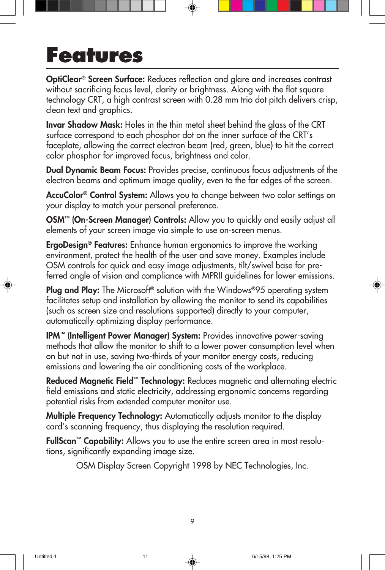## **Features**

**OptiClear® Screen Surface:** Reduces reflection and glare and increases contrast without sacrificing focus level, clarity or brightness. Along with the flat square technology CRT, a high contrast screen with 0.28 mm trio dot pitch delivers crisp, clean text and graphics.

**Invar Shadow Mask:** Holes in the thin metal sheet behind the glass of the CRT surface correspond to each phosphor dot on the inner surface of the CRT's faceplate, allowing the correct electron beam (red, green, blue) to hit the correct color phosphor for improved focus, brightness and color.

**Dual Dynamic Beam Focus:** Provides precise, continuous focus adjustments of the electron beams and optimum image quality, even to the far edges of the screen.

**AccuColor® Control System:** Allows you to change between two color settings on your display to match your personal preference.

**OSM™ (On-Screen Manager) Controls:** Allow you to quickly and easily adjust all elements of your screen image via simple to use on-screen menus.

**ErgoDesign® Features:** Enhance human ergonomics to improve the working environment, protect the health of the user and save money. Examples include OSM controls for quick and easy image adjustments, tilt/swivel base for preferred angle of vision and compliance with MPRII guidelines for lower emissions.

**Plug and Play:** The Microsoft**®** solution with the Windows**®**95 operating system facilitates setup and installation by allowing the monitor to send its capabilities (such as screen size and resolutions supported) directly to your computer, automatically optimizing display performance.

**IPM™ (Intelligent Power Manager) System:** Provides innovative power-saving methods that allow the monitor to shift to a lower power consumption level when on but not in use, saving two-thirds of your monitor energy costs, reducing emissions and lowering the air conditioning costs of the workplace.

**Reduced Magnetic Field™ Technology:** Reduces magnetic and alternating electric field emissions and static electricity, addressing ergonomic concerns regarding potential risks from extended computer monitor use.

**Multiple Frequency Technology:** Automatically adjusts monitor to the display card's scanning frequency, thus displaying the resolution required.

**FullScan™ Capability:** Allows you to use the entire screen area in most resolutions, significantly expanding image size.

OSM Display Screen Copyright 1998 by NEC Technologies, Inc.

9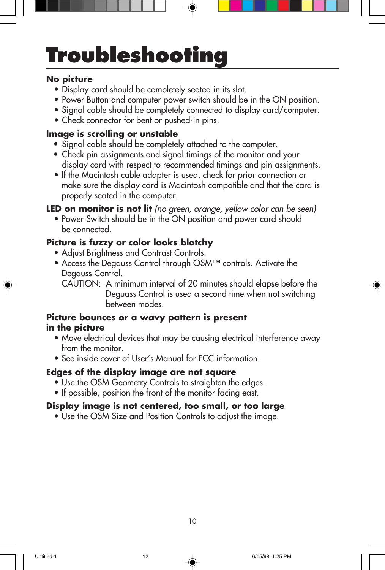# **Troubleshooting**

#### **No picture**

- Display card should be completely seated in its slot.
- Power Button and computer power switch should be in the ON position.
- Signal cable should be completely connected to display card/computer.
- Check connector for bent or pushed-in pins.

#### **Image is scrolling or unstable**

- Signal cable should be completely attached to the computer.
- Check pin assignments and signal timings of the monitor and your display card with respect to recommended timings and pin assignments.
- If the Macintosh cable adapter is used, check for prior connection or make sure the display card is Macintosh compatible and that the card is properly seated in the computer.

**LED on monitor is not lit** (no green, orange, yellow color can be seen)

• Power Switch should be in the ON position and power cord should be connected.

#### **Picture is fuzzy or color looks blotchy**

- Adjust Brightness and Contrast Controls.
- Access the Degauss Control through OSM™ controls. Activate the Degauss Control.
	- CAUTION: A minimum interval of 20 minutes should elapse before the Deguass Control is used a second time when not switching between modes.

#### **Picture bounces or a wavy pattern is present in the picture**

- Move electrical devices that may be causing electrical interference away from the monitor.
- See inside cover of User's Manual for FCC information.

#### **Edges of the display image are not square**

- Use the OSM Geometry Controls to straighten the edges.
- If possible, position the front of the monitor facing east.

#### **Display image is not centered, too small, or too large**

• Use the OSM Size and Position Controls to adjust the image.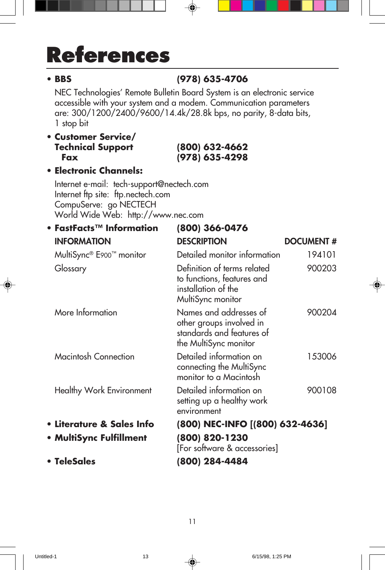# **References**

### **• BBS (978) 635-4706**

NEC Technologies' Remote Bulletin Board System is an electronic service accessible with your system and a modem. Communication parameters are: 300/1200/2400/9600/14.4k/28.8k bps, no parity, 8-data bits, 1 stop bit

#### **• Customer Service/ Technical Support (800) 632-4662 Fax (978) 635-4298**

#### **• Electronic Channels:**

Internet e-mail: tech-support@nectech.com Internet ftp site: ftp.nectech.com CompuServe: go NECTECH World Wide Web: http://www.nec.com

| • FastFacts $T^M$ Information | (800) 366-0476                                                                                           |                  |
|-------------------------------|----------------------------------------------------------------------------------------------------------|------------------|
| <b>INFORMATION</b>            | <b>DESCRIPTION</b>                                                                                       | <b>DOCUMENT#</b> |
| MultiSync® E900™ monitor      | Detailed monitor information                                                                             | 194101           |
| Glossary                      | Definition of terms related<br>to functions, features and<br>installation of the<br>MultiSync monitor    | 900203           |
| More Information              | Names and addresses of<br>other groups involved in<br>standards and features of<br>the MultiSync monitor | 900204           |
| <b>Macintosh Connection</b>   | Detailed information on<br>connecting the MultiSync<br>monitor to a Macintosh                            | 153006           |
| Healthy Work Environment      | Detailed information on<br>setting up a healthy work<br>environment                                      | 900108           |
| • Literature & Sales Info     | (800) NEC-INFO [(800) 632-4636]                                                                          |                  |
| • MultiSync Fulfillment       | (800) 820-1230<br>[For software & accessories]                                                           |                  |
| • TeleSales                   | (800) 284-4484                                                                                           |                  |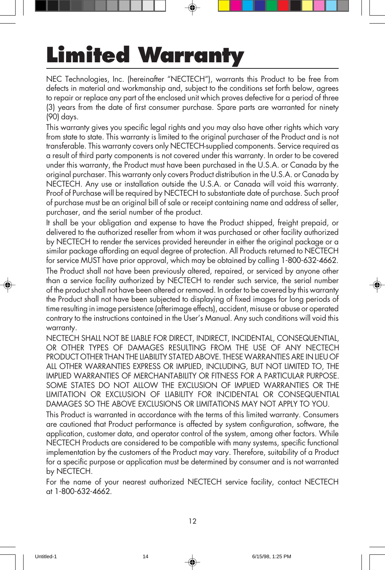# **Limited Warranty**

NEC Technologies, Inc. (hereinafter "NECTECH"), warrants this Product to be free from defects in material and workmanship and, subject to the conditions set forth below, agrees to repair or replace any part of the enclosed unit which proves defective for a period of three (3) years from the date of first consumer purchase. Spare parts are warranted for ninety (90) days.

This warranty gives you specific legal rights and you may also have other rights which vary from state to state. This warranty is limited to the original purchaser of the Product and is not transferable. This warranty covers only NECTECH-supplied components. Service required as a result of third party components is not covered under this warranty. In order to be covered under this warranty, the Product must have been purchased in the U.S.A. or Canada by the original purchaser. This warranty only covers Product distribution in the U.S.A. or Canada by NECTECH. Any use or installation outside the U.S.A. or Canada will void this warranty. Proof of Purchase will be required by NECTECH to substantiate date of purchase. Such proof of purchase must be an original bill of sale or receipt containing name and address of seller, purchaser, and the serial number of the product.

It shall be your obligation and expense to have the Product shipped, freight prepaid, or delivered to the authorized reseller from whom it was purchased or other facility authorized by NECTECH to render the services provided hereunder in either the original package or a similar package affording an equal degree of protection. All Products returned to NECTECH for service MUST have prior approval, which may be obtained by calling 1-800-632-4662. The Product shall not have been previously altered, repaired, or serviced by anyone other than a service facility authorized by NECTECH to render such service, the serial number of the product shall not have been altered or removed. In order to be covered by this warranty the Product shall not have been subjected to displaying of fixed images for long periods of time resulting in image persistence (afterimage effects), accident, misuse or abuse or operated contrary to the instructions contained in the User's Manual. Any such conditions will void this warranty.

NECTECH SHALL NOT BE LIABLE FOR DIRECT, INDIRECT, INCIDENTAL, CONSEQUENTIAL, OR OTHER TYPES OF DAMAGES RESULTING FROM THE USE OF ANY NECTECH PRODUCT OTHER THAN THE LIABILITY STATED ABOVE. THESE WARRANTIES ARE IN LIEU OF ALL OTHER WARRANTIES EXPRESS OR IMPLIED, INCLUDING, BUT NOT LIMITED TO, THE IMPLIED WARRANTIES OF MERCHANTABILITY OR FITNESS FOR A PARTICULAR PURPOSE. SOME STATES DO NOT ALLOW THE EXCLUSION OF IMPLIED WARRANTIES OR THE LIMITATION OR EXCLUSION OF LIABILITY FOR INCIDENTAL OR CONSEQUENTIAL DAMAGES SO THE ABOVE EXCLUSIONS OR LIMITATIONS MAY NOT APPLY TO YOU.

This Product is warranted in accordance with the terms of this limited warranty. Consumers are cautioned that Product performance is affected by system configuration, software, the application, customer data, and operator control of the system, among other factors. While NECTECH Products are considered to be compatible with many systems, specific functional implementation by the customers of the Product may vary. Therefore, suitability of a Product for a specific purpose or application must be determined by consumer and is not warranted by NECTECH.

For the name of your nearest authorized NECTECH service facility, contact NECTECH at 1-800-632-4662.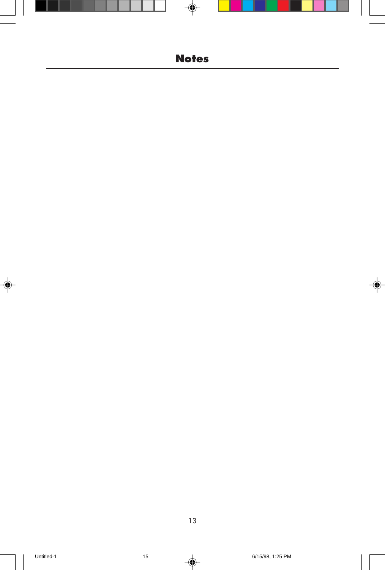### **Notes**

◈

 $\color{black}\blacklozenge$